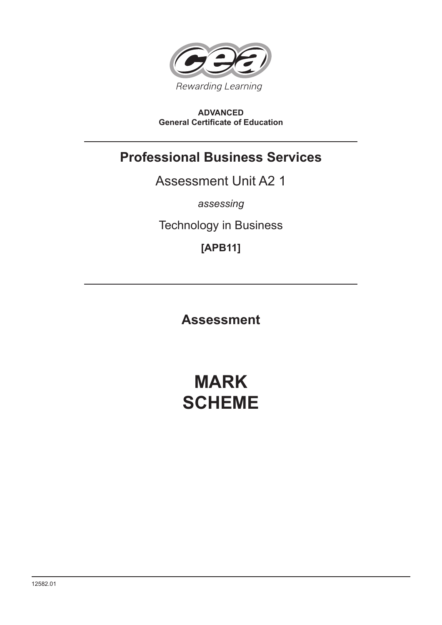

# **ADVANCED General Certificate of Education**

# **Professional Business Services**

Assessment Unit A2 1

*assessing*

Technology in Business

**[APB11]**

**Assessment**

# **MARK SCHEME**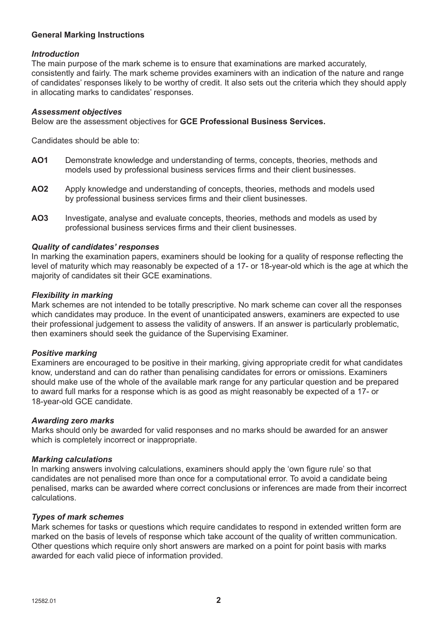# **General Marking Instructions**

#### *Introduction*

The main purpose of the mark scheme is to ensure that examinations are marked accurately, consistently and fairly. The mark scheme provides examiners with an indication of the nature and range of candidates' responses likely to be worthy of credit. It also sets out the criteria which they should apply in allocating marks to candidates' responses.

#### *Assessment objectives*

Below are the assessment objectives for **GCE Professional Business Services.**

Candidates should be able to:

- **AO1** Demonstrate knowledge and understanding of terms, concepts, theories, methods and models used by professional business services firms and their client businesses.
- **AO2** Apply knowledge and understanding of concepts, theories, methods and models used by professional business services firms and their client businesses.
- **AO3** Investigate, analyse and evaluate concepts, theories, methods and models as used by professional business services firms and their client businesses.

#### *Quality of candidates' responses*

In marking the examination papers, examiners should be looking for a quality of response reflecting the level of maturity which may reasonably be expected of a 17- or 18-year-old which is the age at which the majority of candidates sit their GCE examinations.

#### *Flexibility in marking*

Mark schemes are not intended to be totally prescriptive. No mark scheme can cover all the responses which candidates may produce. In the event of unanticipated answers, examiners are expected to use their professional judgement to assess the validity of answers. If an answer is particularly problematic, then examiners should seek the guidance of the Supervising Examiner.

#### *Positive marking*

Examiners are encouraged to be positive in their marking, giving appropriate credit for what candidates know, understand and can do rather than penalising candidates for errors or omissions. Examiners should make use of the whole of the available mark range for any particular question and be prepared to award full marks for a response which is as good as might reasonably be expected of a 17- or 18-year-old GCE candidate.

#### *Awarding zero marks*

Marks should only be awarded for valid responses and no marks should be awarded for an answer which is completely incorrect or inappropriate.

#### *Marking calculations*

In marking answers involving calculations, examiners should apply the 'own figure rule' so that candidates are not penalised more than once for a computational error. To avoid a candidate being penalised, marks can be awarded where correct conclusions or inferences are made from their incorrect calculations.

#### *Types of mark schemes*

Mark schemes for tasks or questions which require candidates to respond in extended written form are marked on the basis of levels of response which take account of the quality of written communication. Other questions which require only short answers are marked on a point for point basis with marks awarded for each valid piece of information provided.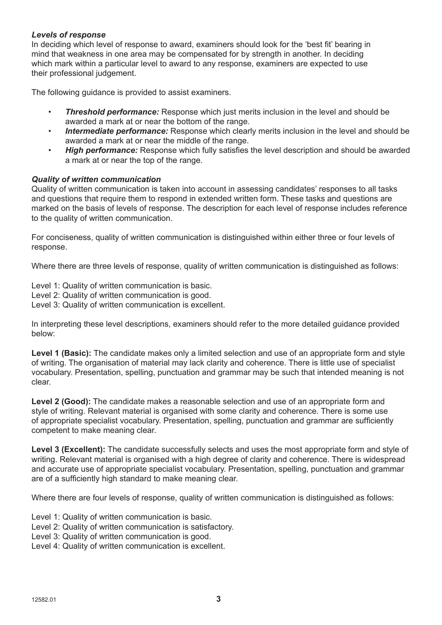# *Levels of response*

In deciding which level of response to award, examiners should look for the 'best fit' bearing in mind that weakness in one area may be compensated for by strength in another. In deciding which mark within a particular level to award to any response, examiners are expected to use their professional judgement.

The following guidance is provided to assist examiners.

- **Threshold performance:** Response which just merits inclusion in the level and should be awarded a mark at or near the bottom of the range.
- *Intermediate performance:* Response which clearly merits inclusion in the level and should be awarded a mark at or near the middle of the range.
- *High performance:* Response which fully satisfies the level description and should be awarded a mark at or near the top of the range.

# *Quality of written communication*

Quality of written communication is taken into account in assessing candidates' responses to all tasks and questions that require them to respond in extended written form. These tasks and questions are marked on the basis of levels of response. The description for each level of response includes reference to the quality of written communication.

For conciseness, quality of written communication is distinguished within either three or four levels of response.

Where there are three levels of response, quality of written communication is distinguished as follows:

Level 1: Quality of written communication is basic.

- Level 2: Quality of written communication is good.
- Level 3: Quality of written communication is excellent.

In interpreting these level descriptions, examiners should refer to the more detailed guidance provided below:

Level 1 (Basic): The candidate makes only a limited selection and use of an appropriate form and style of writing. The organisation of material may lack clarity and coherence. There is little use of specialist vocabulary. Presentation, spelling, punctuation and grammar may be such that intended meaning is not clear.

**Level 2 (Good):** The candidate makes a reasonable selection and use of an appropriate form and style of writing. Relevant material is organised with some clarity and coherence. There is some use of appropriate specialist vocabulary. Presentation, spelling, punctuation and grammar are sufficiently competent to make meaning clear.

**Level 3 (Excellent):** The candidate successfully selects and uses the most appropriate form and style of writing. Relevant material is organised with a high degree of clarity and coherence. There is widespread and accurate use of appropriate specialist vocabulary. Presentation, spelling, punctuation and grammar are of a sufficiently high standard to make meaning clear.

Where there are four levels of response, quality of written communication is distinguished as follows:

Level 1: Quality of written communication is basic.

- Level 2: Quality of written communication is satisfactory.
- Level 3: Quality of written communication is good.
- Level 4: Quality of written communication is excellent.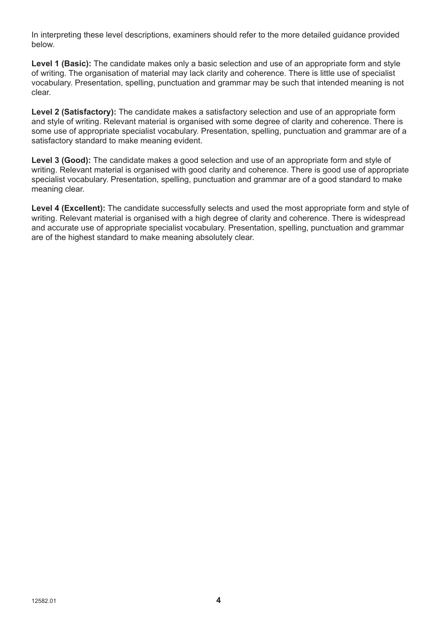In interpreting these level descriptions, examiners should refer to the more detailed guidance provided below.

**Level 1 (Basic):** The candidate makes only a basic selection and use of an appropriate form and style of writing. The organisation of material may lack clarity and coherence. There is little use of specialist vocabulary. Presentation, spelling, punctuation and grammar may be such that intended meaning is not clear.

**Level 2 (Satisfactory):** The candidate makes a satisfactory selection and use of an appropriate form and style of writing. Relevant material is organised with some degree of clarity and coherence. There is some use of appropriate specialist vocabulary. Presentation, spelling, punctuation and grammar are of a satisfactory standard to make meaning evident.

**Level 3 (Good):** The candidate makes a good selection and use of an appropriate form and style of writing. Relevant material is organised with good clarity and coherence. There is good use of appropriate specialist vocabulary. Presentation, spelling, punctuation and grammar are of a good standard to make meaning clear.

Level 4 (Excellent): The candidate successfully selects and used the most appropriate form and style of writing. Relevant material is organised with a high degree of clarity and coherence. There is widespread and accurate use of appropriate specialist vocabulary. Presentation, spelling, punctuation and grammar are of the highest standard to make meaning absolutely clear.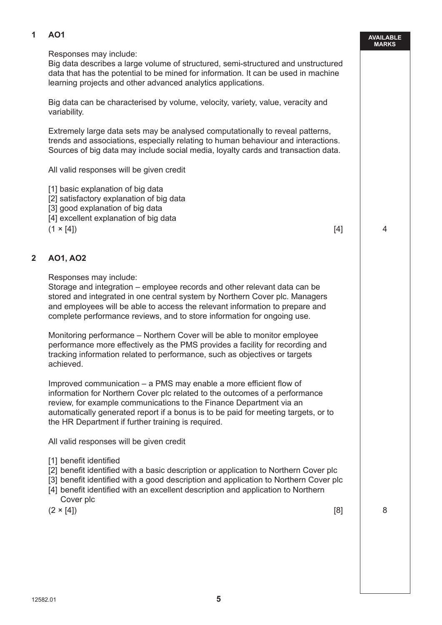# **1 AO1**

#### **AVAILABLE MARKS**

Responses may include:

 Big data describes a large volume of structured, semi-structured and unstructured data that has the potential to be mined for information. It can be used in machine learning projects and other advanced analytics applications.

 Big data can be characterised by volume, velocity, variety, value, veracity and variability.

 Extremely large data sets may be analysed computationally to reveal patterns, trends and associations, especially relating to human behaviour and interactions. Sources of big data may include social media, loyalty cards and transaction data.

All valid responses will be given credit

[1] basic explanation of big data

[2] satisfactory explanation of big data

[3] good explanation of big data

[4] excellent explanation of big data

 $(1 \times [4])$  4

# **2 AO1, AO2**

Responses may include:

 Storage and integration – employee records and other relevant data can be stored and integrated in one central system by Northern Cover plc. Managers and employees will be able to access the relevant information to prepare and complete performance reviews, and to store information for ongoing use.

 Monitoring performance – Northern Cover will be able to monitor employee performance more effectively as the PMS provides a facility for recording and tracking information related to performance, such as objectives or targets achieved.

 Improved communication – a PMS may enable a more efficient flow of information for Northern Cover plc related to the outcomes of a performance review, for example communications to the Finance Department via an automatically generated report if a bonus is to be paid for meeting targets, or to the HR Department if further training is required.

All valid responses will be given credit

[1] benefit identified

[2] benefit identified with a basic description or application to Northern Cover plc

- [3] benefit identified with a good description and application to Northern Cover plc
- [4] benefit identified with an excellent description and application to Northern Cover plc

 $(2 \times [4])$  8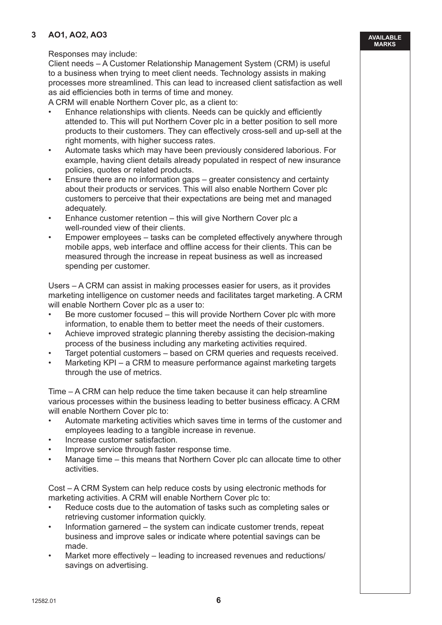# **3 AO1, AO2, AO3**

#### **AVAILABLE MARKS**

#### Responses may include:

 Client needs – A Customer Relationship Management System (CRM) is useful to a business when trying to meet client needs. Technology assists in making processes more streamlined. This can lead to increased client satisfaction as well as aid efficiencies both in terms of time and money.

A CRM will enable Northern Cover plc, as a client to:

- Enhance relationships with clients. Needs can be quickly and efficiently attended to. This will put Northern Cover plc in a better position to sell more products to their customers. They can effectively cross-sell and up-sell at the right moments, with higher success rates.
- Automate tasks which may have been previously considered laborious. For example, having client details already populated in respect of new insurance policies, quotes or related products.
- Ensure there are no information gaps greater consistency and certainty about their products or services. This will also enable Northern Cover plc customers to perceive that their expectations are being met and managed adequately.
- Enhance customer retention this will give Northern Cover plc a well-rounded view of their clients.
- Empower employees tasks can be completed effectively anywhere through mobile apps, web interface and offline access for their clients. This can be measured through the increase in repeat business as well as increased spending per customer.

 Users – A CRM can assist in making processes easier for users, as it provides marketing intelligence on customer needs and facilitates target marketing. A CRM will enable Northern Cover plc as a user to:

- Be more customer focused this will provide Northern Cover plc with more information, to enable them to better meet the needs of their customers.
- Achieve improved strategic planning thereby assisting the decision-making process of the business including any marketing activities required.
- Target potential customers based on CRM queries and requests received.
- Marketing KPI a CRM to measure performance against marketing targets through the use of metrics.

 Time – A CRM can help reduce the time taken because it can help streamline various processes within the business leading to better business efficacy. A CRM will enable Northern Cover plc to:

- Automate marketing activities which saves time in terms of the customer and employees leading to a tangible increase in revenue.
- Increase customer satisfaction.
- Improve service through faster response time.
- Manage time this means that Northern Cover plc can allocate time to other activities.

 Cost – A CRM System can help reduce costs by using electronic methods for marketing activities. A CRM will enable Northern Cover plc to:

- Reduce costs due to the automation of tasks such as completing sales or retrieving customer information quickly.
- Information garnered the system can indicate customer trends, repeat business and improve sales or indicate where potential savings can be made.
- Market more effectively leading to increased revenues and reductions/ savings on advertising.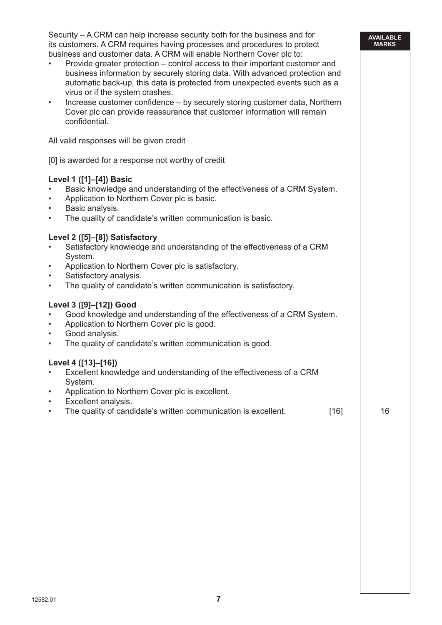Security – A CRM can help increase security both for the business and for its customers. A CRM requires having processes and procedures to protect business and customer data. A CRM will enable Northern Cover plc to:

**AVAILABLE MARKS**

| $\bullet$<br>$\bullet$              | id castomer data. A Ortim mill chaple northein Oover pic to:<br>Provide greater protection – control access to their important customer and<br>business information by securely storing data. With advanced protection and<br>automatic back-up, this data is protected from unexpected events such as a<br>virus or if the system crashes.<br>Increase customer confidence - by securely storing customer data, Northern<br>Cover plc can provide reassurance that customer information will remain<br>confidential. |    |
|-------------------------------------|-----------------------------------------------------------------------------------------------------------------------------------------------------------------------------------------------------------------------------------------------------------------------------------------------------------------------------------------------------------------------------------------------------------------------------------------------------------------------------------------------------------------------|----|
|                                     | All valid responses will be given credit                                                                                                                                                                                                                                                                                                                                                                                                                                                                              |    |
|                                     | [0] is awarded for a response not worthy of credit                                                                                                                                                                                                                                                                                                                                                                                                                                                                    |    |
| $\bullet$<br>$\bullet$<br>$\bullet$ | Level 1 ([1]-[4]) Basic<br>Basic knowledge and understanding of the effectiveness of a CRM System.<br>Application to Northern Cover plc is basic.<br>Basic analysis.<br>The quality of candidate's written communication is basic.                                                                                                                                                                                                                                                                                    |    |
| $\bullet$<br>$\bullet$<br>$\bullet$ | Level 2 ([5]-[8]) Satisfactory<br>Satisfactory knowledge and understanding of the effectiveness of a CRM<br>System.<br>Application to Northern Cover plc is satisfactory.<br>Satisfactory analysis.<br>The quality of candidate's written communication is satisfactory.                                                                                                                                                                                                                                              |    |
| $\bullet$<br>$\bullet$<br>$\bullet$ | Level 3 ([9]-[12]) Good<br>Good knowledge and understanding of the effectiveness of a CRM System.<br>Application to Northern Cover plc is good.<br>Good analysis.<br>The quality of candidate's written communication is good.                                                                                                                                                                                                                                                                                        |    |
|                                     | Level 4 ([13]-[16])<br>Excellent knowledge and understanding of the effectiveness of a CRM<br>System.<br>Application to Northern Cover plc is excellent.<br>Excellent analysis.<br>The quality of candidate's written communication is excellent.<br>$[16]$                                                                                                                                                                                                                                                           | 16 |
|                                     |                                                                                                                                                                                                                                                                                                                                                                                                                                                                                                                       |    |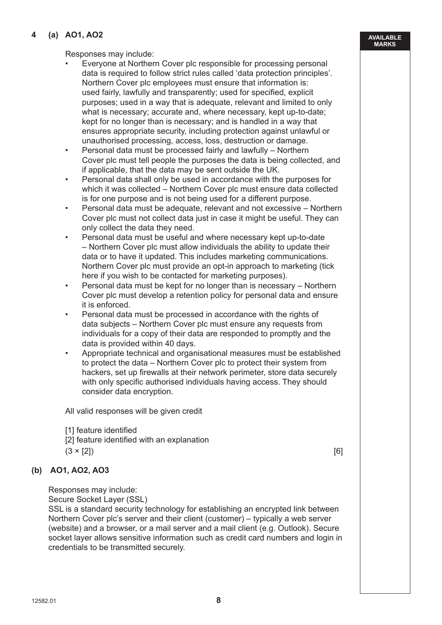#### $12582.01$  **8**

#### **4 (a) AO1, AO2**

Responses may include:

- Everyone at Northern Cover plc responsible for processing personal data is required to follow strict rules called 'data protection principles'. Northern Cover plc employees must ensure that information is: used fairly, lawfully and transparently; used for specified, explicit purposes; used in a way that is adequate, relevant and limited to only what is necessary; accurate and, where necessary, kept up-to-date; kept for no longer than is necessary; and is handled in a way that ensures appropriate security, including protection against unlawful or unauthorised processing, access, loss, destruction or damage.
- Personal data must be processed fairly and lawfully Northern Cover plc must tell people the purposes the data is being collected, and if applicable, that the data may be sent outside the UK.
- Personal data shall only be used in accordance with the purposes for which it was collected – Northern Cover plc must ensure data collected is for one purpose and is not being used for a different purpose.
- Personal data must be adequate, relevant and not excessive Northern Cover plc must not collect data just in case it might be useful. They can only collect the data they need.
- Personal data must be useful and where necessary kept up-to-date – Northern Cover plc must allow individuals the ability to update their data or to have it updated. This includes marketing communications. Northern Cover plc must provide an opt-in approach to marketing (tick here if you wish to be contacted for marketing purposes).
- Personal data must be kept for no longer than is necessary Northern Cover plc must develop a retention policy for personal data and ensure it is enforced.
- Personal data must be processed in accordance with the rights of data subjects – Northern Cover plc must ensure any requests from individuals for a copy of their data are responded to promptly and the data is provided within 40 days.
- Appropriate technical and organisational measures must be established to protect the data – Northern Cover plc to protect their system from hackers, set up firewalls at their network perimeter, store data securely with only specific authorised individuals having access. They should consider data encryption.

All valid responses will be given credit

- [1] feature identified
- [2] feature identified with an explanation
- $(3 \times [2])$  [6]

#### **(b) AO1, AO2, AO3**

Responses may include:

Secure Socket Layer (SSL)

 SSL is a standard security technology for establishing an encrypted link between Northern Cover plc's server and their client (customer) – typically a web server (website) and a browser, or a mail server and a mail client (e.g. Outlook). Secure socket layer allows sensitive information such as credit card numbers and login in credentials to be transmitted securely.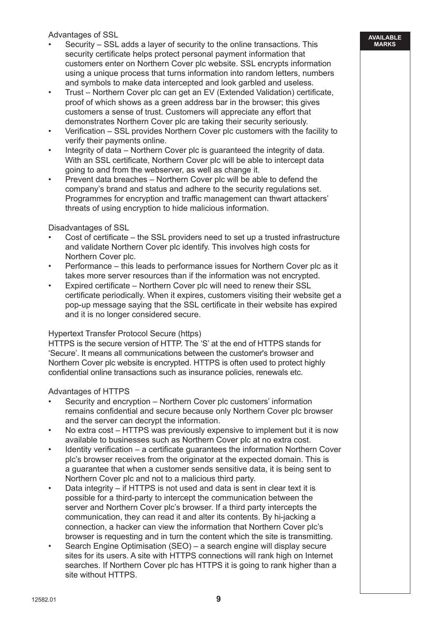Advantages of SSL

- Security SSL adds a layer of security to the online transactions. This security certificate helps protect personal payment information that customers enter on Northern Cover plc website. SSL encrypts information using a unique process that turns information into random letters, numbers and symbols to make data intercepted and look garbled and useless.
- Trust Northern Cover plc can get an EV (Extended Validation) certificate, proof of which shows as a green address bar in the browser; this gives customers a sense of trust. Customers will appreciate any effort that demonstrates Northern Cover plc are taking their security seriously.
- Verification SSL provides Northern Cover plc customers with the facility to verify their payments online.
- Integrity of data Northern Cover plc is guaranteed the integrity of data. With an SSL certificate. Northern Cover plc will be able to intercept data going to and from the webserver, as well as change it.
- Prevent data breaches Northern Cover plc will be able to defend the company's brand and status and adhere to the security regulations set. Programmes for encryption and traffic management can thwart attackers' threats of using encryption to hide malicious information.

Disadvantages of SSL

- Cost of certificate the SSL providers need to set up a trusted infrastructure and validate Northern Cover plc identify. This involves high costs for Northern Cover plc.
- Performance this leads to performance issues for Northern Cover plc as it takes more server resources than if the information was not encrypted.
- Expired certificate Northern Cover plc will need to renew their SSL certificate periodically. When it expires, customers visiting their website get a pop-up message saying that the SSL certificate in their website has expired and it is no longer considered secure.

# Hypertext Transfer Protocol Secure (https)

 HTTPS is the secure version of HTTP. The 'S' at the end of HTTPS stands for 'Secure'. It means all communications between the customer's browser and Northern Cover plc website is encrypted. HTTPS is often used to protect highly confidential online transactions such as insurance policies, renewals etc.

Advantages of HTTPS

- Security and encryption Northern Cover plc customers' information remains confidential and secure because only Northern Cover plc browser and the server can decrypt the information.
- No extra cost HTTPS was previously expensive to implement but it is now available to businesses such as Northern Cover plc at no extra cost.
- Identity verification a certificate guarantees the information Northern Cover plc's browser receives from the originator at the expected domain. This is a guarantee that when a customer sends sensitive data, it is being sent to Northern Cover plc and not to a malicious third party.
- Data integrity if HTTPS is not used and data is sent in clear text it is possible for a third-party to intercept the communication between the server and Northern Cover plc's browser. If a third party intercepts the communication, they can read it and alter its contents. By hi-jacking a connection, a hacker can view the information that Northern Cover plc's browser is requesting and in turn the content which the site is transmitting.
- Search Engine Optimisation (SEO) a search engine will display secure sites for its users. A site with HTTPS connections will rank high on Internet searches. If Northern Cover plc has HTTPS it is going to rank higher than a site without HTTPS.

**AVAILABLE MARKS**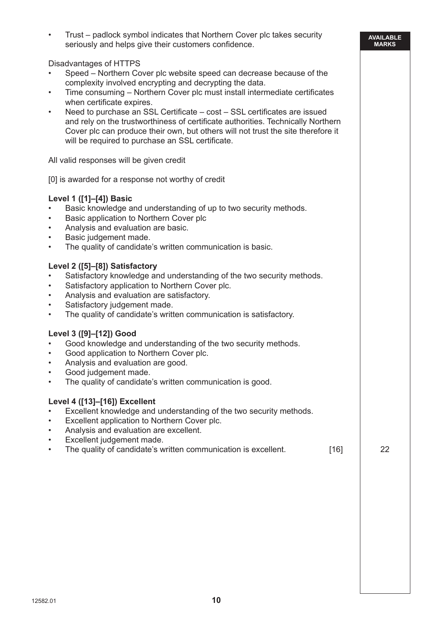• Trust – padlock symbol indicates that Northern Cover plc takes security seriously and helps give their customers confidence.

Disadvantages of HTTPS

- Speed Northern Cover plc website speed can decrease because of the complexity involved encrypting and decrypting the data.
- Time consuming Northern Cover plc must install intermediate certificates when certificate expires.
- Need to purchase an SSL Certificate cost SSL certificates are issued and rely on the trustworthiness of certificate authorities. Technically Northern Cover plc can produce their own, but others will not trust the site therefore it will be required to purchase an SSL certificate.

All valid responses will be given credit

[0] is awarded for a response not worthy of credit

#### **Level 1 ([1]–[4]) Basic**

- Basic knowledge and understanding of up to two security methods.
- Basic application to Northern Cover plc
- Analysis and evaluation are basic.
- Basic judgement made.
- The quality of candidate's written communication is basic.

# **Level 2 ([5]–[8]) Satisfactory**

- Satisfactory knowledge and understanding of the two security methods.
- Satisfactory application to Northern Cover plc.
- Analysis and evaluation are satisfactory.
- Satisfactory judgement made.
- The quality of candidate's written communication is satisfactory.

# **Level 3 ([9]–[12]) Good**

- Good knowledge and understanding of the two security methods.
- Good application to Northern Cover plc.
- Analysis and evaluation are good.
- Good judgement made.
- The quality of candidate's written communication is good.

#### **Level 4 ([13]–[16]) Excellent**

- Excellent knowledge and understanding of the two security methods.
- Excellent application to Northern Cover plc.
- Analysis and evaluation are excellent.
- Excellent judgement made.
- The quality of candidate's written communication is excellent. [16] 22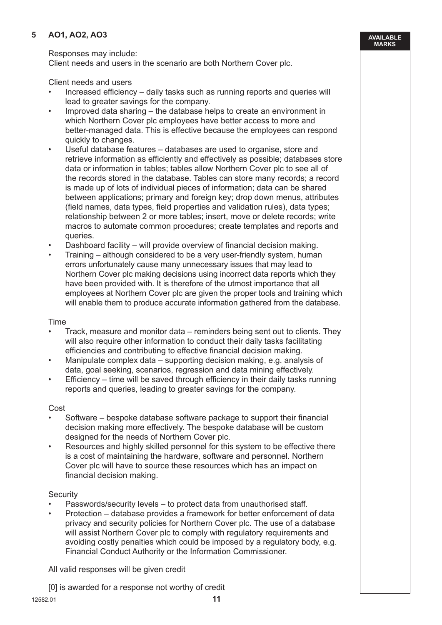# **5 AO1, AO2, AO3**

Responses may include:

Client needs and users in the scenario are both Northern Cover plc.

Client needs and users

 • Increased efficiency – daily tasks such as running reports and queries will lead to greater savings for the company.

**AVAILABLE MARKS**

- Improved data sharing the database helps to create an environment in which Northern Cover plc employees have better access to more and better-managed data. This is effective because the employees can respond quickly to changes.
- Useful database features databases are used to organise, store and retrieve information as efficiently and effectively as possible; databases store data or information in tables; tables allow Northern Cover plc to see all of the records stored in the database. Tables can store many records; a record is made up of lots of individual pieces of information; data can be shared between applications; primary and foreign key; drop down menus, attributes (field names, data types, field properties and validation rules), data types; relationship between 2 or more tables; insert, move or delete records; write macros to automate common procedures; create templates and reports and queries.
- Dashboard facility will provide overview of financial decision making.
- Training although considered to be a very user-friendly system, human errors unfortunately cause many unnecessary issues that may lead to Northern Cover plc making decisions using incorrect data reports which they have been provided with. It is therefore of the utmost importance that all employees at Northern Cover plc are given the proper tools and training which will enable them to produce accurate information gathered from the database.

#### Time

- Track, measure and monitor data reminders being sent out to clients. They will also require other information to conduct their daily tasks facilitating efficiencies and contributing to effective financial decision making.
- Manipulate complex data supporting decision making, e.g. analysis of data, goal seeking, scenarios, regression and data mining effectively.
- Efficiency time will be saved through efficiency in their daily tasks running reports and queries, leading to greater savings for the company.

#### Cost

- Software bespoke database software package to support their financial decision making more effectively. The bespoke database will be custom designed for the needs of Northern Cover plc.
- Resources and highly skilled personnel for this system to be effective there is a cost of maintaining the hardware, software and personnel. Northern Cover plc will have to source these resources which has an impact on financial decision making.

#### **Security**

- Passwords/security levels to protect data from unauthorised staff.
- Protection database provides a framework for better enforcement of data privacy and security policies for Northern Cover plc. The use of a database will assist Northern Cover plc to comply with regulatory requirements and avoiding costly penalties which could be imposed by a regulatory body, e.g. Financial Conduct Authority or the Information Commissioner.

All valid responses will be given credit

[0] is awarded for a response not worthy of credit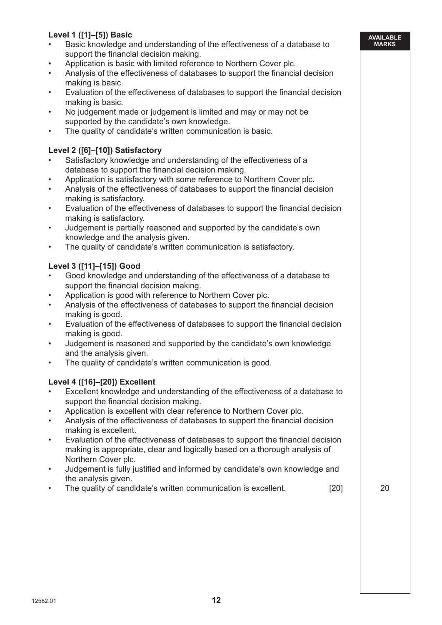# **Level 1 ([1]–[5]) Basic**

- Basic knowledge and understanding of the effectiveness of a database to support the financial decision making.
- Application is basic with limited reference to Northern Cover plc.
- Analysis of the effectiveness of databases to support the financial decision making is basic.
- Evaluation of the effectiveness of databases to support the financial decision making is basic.
- No judgement made or judgement is limited and may or may not be supported by the candidate's own knowledge.
- The quality of candidate's written communication is basic.

# **Level 2 ([6]–[10]) Satisfactory**

- Satisfactory knowledge and understanding of the effectiveness of a database to support the financial decision making.
- Application is satisfactory with some reference to Northern Cover plc.
- Analysis of the effectiveness of databases to support the financial decision making is satisfactory.
- Evaluation of the effectiveness of databases to support the financial decision making is satisfactory.
- Judgement is partially reasoned and supported by the candidate's own knowledge and the analysis given.
- The quality of candidate's written communication is satisfactory.

# **Level 3 ([11]–[15]) Good**

- Good knowledge and understanding of the effectiveness of a database to support the financial decision making.
- Application is good with reference to Northern Cover plc.
- Analysis of the effectiveness of databases to support the financial decision making is good.
- Evaluation of the effectiveness of databases to support the financial decision making is good.
- Judgement is reasoned and supported by the candidate's own knowledge and the analysis given.
- The quality of candidate's written communication is good.

# **Level 4 ([16]–[20]) Excellent**

- Excellent knowledge and understanding of the effectiveness of a database to support the financial decision making.
- Application is excellent with clear reference to Northern Cover plc.
- Analysis of the effectiveness of databases to support the financial decision making is excellent.
- Evaluation of the effectiveness of databases to support the financial decision making is appropriate, clear and logically based on a thorough analysis of Northern Cover plc.
- Judgement is fully justified and informed by candidate's own knowledge and the analysis given.
- The quality of candidate's written communication is excellent. [20] [20] 20

**AVAILABLE MARKS**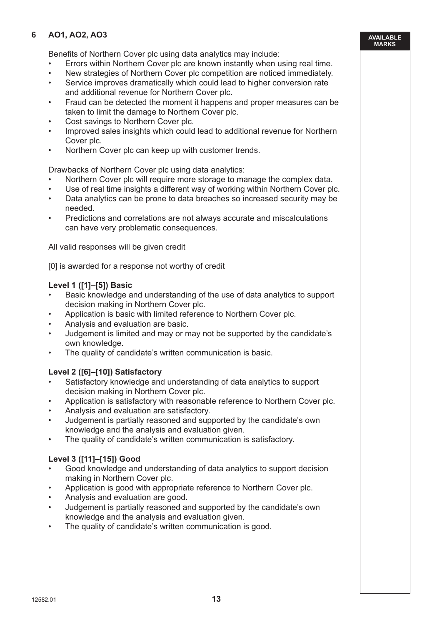# **6 AO1, AO2, AO3**

Benefits of Northern Cover plc using data analytics may include:

- Errors within Northern Cover plc are known instantly when using real time.
- New strategies of Northern Cover plc competition are noticed immediately.
- Service improves dramatically which could lead to higher conversion rate and additional revenue for Northern Cover plc.
- Fraud can be detected the moment it happens and proper measures can be taken to limit the damage to Northern Cover plc.
- Cost savings to Northern Cover plc.
- Improved sales insights which could lead to additional revenue for Northern Cover plc.
- Northern Cover plc can keep up with customer trends.

Drawbacks of Northern Cover plc using data analytics:

- Northern Cover plc will require more storage to manage the complex data.
- Use of real time insights a different way of working within Northern Cover plc.
- Data analytics can be prone to data breaches so increased security may be needed.
- Predictions and correlations are not always accurate and miscalculations can have very problematic consequences.

All valid responses will be given credit

[0] is awarded for a response not worthy of credit

# **Level 1 ([1]–[5]) Basic**

- Basic knowledge and understanding of the use of data analytics to support decision making in Northern Cover plc.
- Application is basic with limited reference to Northern Cover plc.
- Analysis and evaluation are basic.
- Judgement is limited and may or may not be supported by the candidate's own knowledge.
- The quality of candidate's written communication is basic.

# **Level 2 ([6]–[10]) Satisfactory**

- Satisfactory knowledge and understanding of data analytics to support decision making in Northern Cover plc.
- Application is satisfactory with reasonable reference to Northern Cover plc.
- Analysis and evaluation are satisfactory.
- Judgement is partially reasoned and supported by the candidate's own knowledge and the analysis and evaluation given.
- The quality of candidate's written communication is satisfactory.

# **Level 3 ([11]–[15]) Good**

- Good knowledge and understanding of data analytics to support decision making in Northern Cover plc.
- Application is good with appropriate reference to Northern Cover plc.
- Analysis and evaluation are good.
- Judgement is partially reasoned and supported by the candidate's own knowledge and the analysis and evaluation given.
- The quality of candidate's written communication is good.